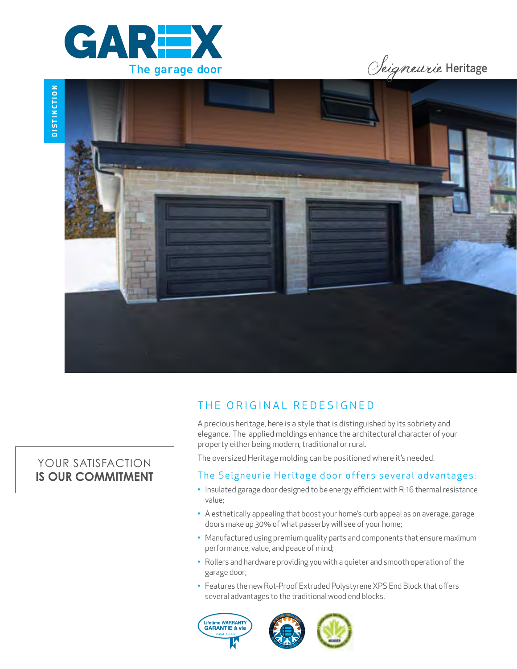





# THE ORIGINAL REDESIGNED

A precious heritage, here is a style that is distinguished by its sobriety and elegance. The applied moldings enhance the architectural character of your property either being modern, traditional or rural.

The oversized Heritage molding can be positioned where it's needed.

### The Seigneurie Heritage door offers several advantages:

- Insulated garage door designed to be energy efficient with R-16 thermal resistance value;
- A esthetically appealing that boost your home's curb appeal as on average, garage doors make up 30% of what passerby will see of your home;
- Manufactured using premium quality parts and components that ensure maximum performance, value, and peace of mind;
- Rollers and hardware providing you with a quieter and smooth operation of the garage door;
- Features the new Rot-Proof Extruded Polystyrene XPS End Block that offers several advantages to the traditional wood end blocks.





## YOUR SATISFACTION **IS OUR COMMITMENT**